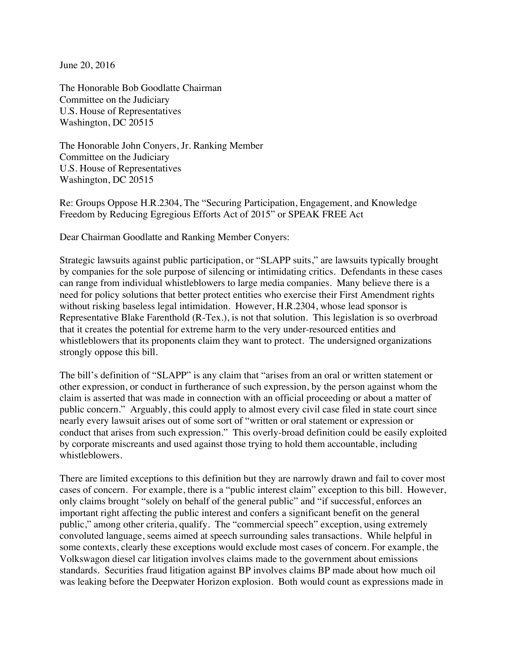June 20, 2016

The Honorable Bob Goodlatte Chairman Committee on the Judiciary U.S. House of Representatives Washington, DC 20515

The Honorable John Conyers, Jr. Ranking Member Committee on the Judiciary U.S. House of Representatives Washington, DC 20515

Re: Groups Oppose H.R.2304, The "Securing Participation, Engagement, and Knowledge Freedom by Reducing Egregious Efforts Act of 2015" or SPEAK FREE Act

Dear Chairman Goodlatte and Ranking Member Conyers:

Strategic lawsuits against public participation, or "SLAPP suits," are lawsuits typically brought by companies for the sole purpose of silencing or intimidating critics. Defendants in these cases can range from individual whistleblowers to large media companies. Many believe there is a need for policy solutions that better protect entities who exercise their First Amendment rights without risking baseless legal intimidation. However, H.R.2304, whose lead sponsor is Representative Blake Farenthold (R-Tex.), is not that solution. This legislation is so overbroad that it creates the potential for extreme harm to the very under-resourced entities and whistleblowers that its proponents claim they want to protect. The undersigned organizations strongly oppose this bill.

The bill's definition of "SLAPP" is any claim that "arises from an oral or written statement or other expression, or conduct in furtherance of such expression, by the person against whom the claim is asserted that was made in connection with an official proceeding or about a matter of public concern." Arguably, this could apply to almost every civil case filed in state court since nearly every lawsuit arises out of some sort of "written or oral statement or expression or conduct that arises from such expression." This overly-broad definition could be easily exploited by corporate miscreants and used against those trying to hold them accountable, including whistleblowers.

There are limited exceptions to this definition but they are narrowly drawn and fail to cover most cases of concern. For example, there is a "public interest claim" exception to this bill. However, only claims brought "solely on behalf of the general public" and "if successful, enforces an important right affecting the public interest and confers a significant benefit on the general public," among other criteria, qualify. The "commercial speech" exception, using extremely convoluted language, seems aimed at speech surrounding sales transactions. While helpful in some contexts, clearly these exceptions would exclude most cases of concern. For example, the Volkswagon diesel car litigation involves claims made to the government about emissions standards. Securities fraud litigation against BP involves claims BP made about how much oil was leaking before the Deepwater Horizon explosion. Both would count as expressions made in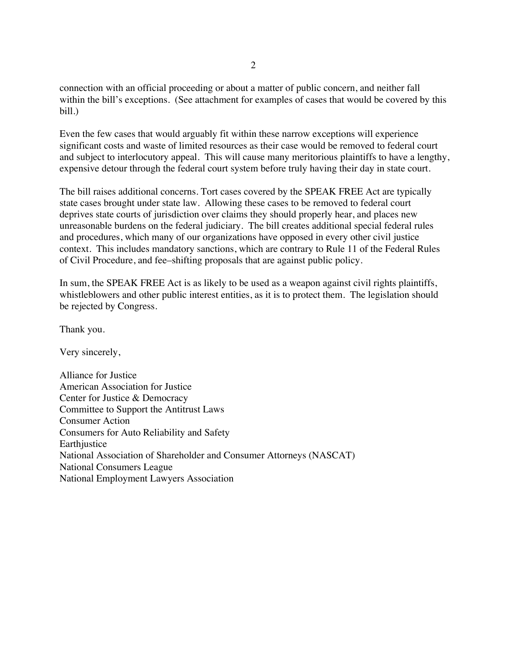connection with an official proceeding or about a matter of public concern, and neither fall within the bill's exceptions. (See attachment for examples of cases that would be covered by this bill.)

Even the few cases that would arguably fit within these narrow exceptions will experience significant costs and waste of limited resources as their case would be removed to federal court and subject to interlocutory appeal. This will cause many meritorious plaintiffs to have a lengthy, expensive detour through the federal court system before truly having their day in state court.

The bill raises additional concerns. Tort cases covered by the SPEAK FREE Act are typically state cases brought under state law. Allowing these cases to be removed to federal court deprives state courts of jurisdiction over claims they should properly hear, and places new unreasonable burdens on the federal judiciary. The bill creates additional special federal rules and procedures, which many of our organizations have opposed in every other civil justice context. This includes mandatory sanctions, which are contrary to Rule 11 of the Federal Rules of Civil Procedure, and fee–shifting proposals that are against public policy.

In sum, the SPEAK FREE Act is as likely to be used as a weapon against civil rights plaintiffs, whistleblowers and other public interest entities, as it is to protect them. The legislation should be rejected by Congress.

Thank you.

Very sincerely,

Alliance for Justice American Association for Justice Center for Justice & Democracy Committee to Support the Antitrust Laws Consumer Action Consumers for Auto Reliability and Safety **Earthjustice** National Association of Shareholder and Consumer Attorneys (NASCAT) National Consumers League National Employment Lawyers Association